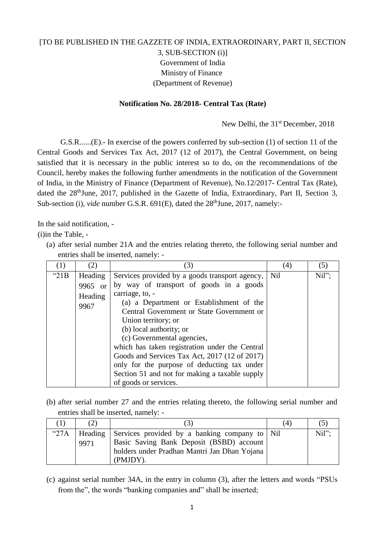## [TO BE PUBLISHED IN THE GAZZETE OF INDIA, EXTRAORDINARY, PART II, SECTION 3, SUB-SECTION (i)] Government of India Ministry of Finance (Department of Revenue)

## **Notification No. 28/2018- Central Tax (Rate)**

New Delhi, the 31<sup>st</sup> December, 2018

G.S.R......(E).- In exercise of the powers conferred by sub-section (1) of section 11 of the Central Goods and Services Tax Act, 2017 (12 of 2017), the Central Government, on being satisfied that it is necessary in the public interest so to do, on the recommendations of the Council, hereby makes the following further amendments in the notification of the Government of India, in the Ministry of Finance (Department of Revenue), No.12/2017- Central Tax (Rate), dated the 28<sup>th</sup>June, 2017, published in the Gazette of India, Extraordinary, Part II, Section 3, Sub-section (i), *vide* number G.S.R. 691(E), dated the 28<sup>th</sup>June, 2017, namely:-

In the said notification, -

(i)in the Table, -

(a) after serial number 21A and the entries relating thereto, the following serial number and entries shall be inserted, namely: -

| (1)     | (2)     | (3)                                            | (4) | (5)   |
|---------|---------|------------------------------------------------|-----|-------|
| " $21B$ | Heading | Services provided by a goods transport agency, | Nil | Nil"; |
|         | 9965 or | by way of transport of goods in a goods        |     |       |
|         | Heading | carriage, to, -                                |     |       |
|         | 9967    | (a) a Department or Establishment of the       |     |       |
|         |         | Central Government or State Government or      |     |       |
|         |         | Union territory; or                            |     |       |
|         |         | (b) local authority; or                        |     |       |
|         |         | (c) Governmental agencies,                     |     |       |
|         |         | which has taken registration under the Central |     |       |
|         |         | Goods and Services Tax Act, 2017 (12 of 2017)  |     |       |
|         |         | only for the purpose of deducting tax under    |     |       |
|         |         | Section 51 and not for making a taxable supply |     |       |
|         |         | of goods or services.                          |     |       |

(b) after serial number 27 and the entries relating thereto, the following serial number and entries shall be inserted, namely: -

|               |      |                                                                                                                                                               | (4) |      |
|---------------|------|---------------------------------------------------------------------------------------------------------------------------------------------------------------|-----|------|
| $^{\circ}27A$ | 9971 | Heading Services provided by a banking company to Nil<br>Basic Saving Bank Deposit (BSBD) account<br>holders under Pradhan Mantri Jan Dhan Yojana<br>(PMJDY). |     | Nil" |

(c) against serial number 34A, in the entry in column (3), after the letters and words "PSUs from the", the words "banking companies and" shall be inserted;